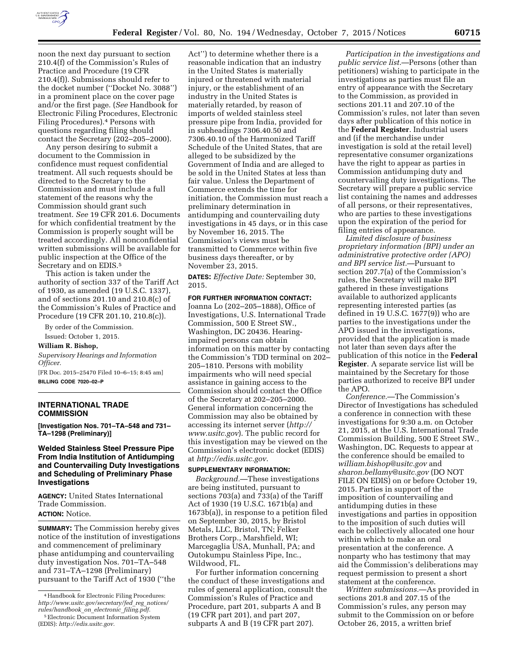

noon the next day pursuant to section 210.4(f) of the Commission's Rules of Practice and Procedure (19 CFR 210.4(f)). Submissions should refer to the docket number (''Docket No. 3088'') in a prominent place on the cover page and/or the first page. (*See* Handbook for Electronic Filing Procedures, Electronic Filing Procedures).4 Persons with questions regarding filing should contact the Secretary (202–205–2000).

Any person desiring to submit a document to the Commission in confidence must request confidential treatment. All such requests should be directed to the Secretary to the Commission and must include a full statement of the reasons why the Commission should grant such treatment. *See* 19 CFR 201.6. Documents for which confidential treatment by the Commission is properly sought will be treated accordingly. All nonconfidential written submissions will be available for public inspection at the Office of the Secretary and on EDIS.5

This action is taken under the authority of section 337 of the Tariff Act of 1930, as amended (19 U.S.C. 1337), and of sections 201.10 and 210.8(c) of the Commission's Rules of Practice and Procedure (19 CFR 201.10, 210.8(c)).

By order of the Commission.

Issued: October 1, 2015.

**William R. Bishop,** 

*Supervisory Hearings and Information Officer.* 

[FR Doc. 2015–25470 Filed 10–6–15; 8:45 am] **BILLING CODE 7020–02–P** 

### **INTERNATIONAL TRADE COMMISSION**

**[Investigation Nos. 701–TA–548 and 731– TA–1298 (Preliminary)]** 

# **Welded Stainless Steel Pressure Pipe From India Institution of Antidumping and Countervailing Duty Investigations and Scheduling of Preliminary Phase Investigations**

**AGENCY:** United States International Trade Commission. **ACTION:** Notice.

**SUMMARY:** The Commission hereby gives notice of the institution of investigations and commencement of preliminary phase antidumping and countervailing duty investigation Nos. 701–TA–548 and 731–TA–1298 (Preliminary) pursuant to the Tariff Act of 1930 (''the

Act'') to determine whether there is a reasonable indication that an industry in the United States is materially injured or threatened with material injury, or the establishment of an industry in the United States is materially retarded, by reason of imports of welded stainless steel pressure pipe from India, provided for in subheadings 7306.40.50 and 7306.40.10 of the Harmonized Tariff Schedule of the United States, that are alleged to be subsidized by the Government of India and are alleged to be sold in the United States at less than fair value. Unless the Department of Commerce extends the time for initiation, the Commission must reach a preliminary determination in antidumping and countervailing duty investigations in 45 days, or in this case by November 16, 2015. The Commission's views must be transmitted to Commerce within five business days thereafter, or by November 23, 2015.

**DATES:** *Effective Date:* September 30, 2015.

**FOR FURTHER INFORMATION CONTACT:**  Joanna Lo (202–205–1888), Office of Investigations, U.S. International Trade Commission, 500 E Street SW., Washington, DC 20436. Hearingimpaired persons can obtain information on this matter by contacting the Commission's TDD terminal on 202– 205–1810. Persons with mobility impairments who will need special assistance in gaining access to the Commission should contact the Office of the Secretary at 202–205–2000. General information concerning the Commission may also be obtained by accessing its internet server (*[http://](http://www.usitc.gov) [www.usitc.gov](http://www.usitc.gov)*). The public record for this investigation may be viewed on the Commission's electronic docket (EDIS) at *<http://edis.usitc.gov>*.

## **SUPPLEMENTARY INFORMATION:**

*Background.*—These investigations are being instituted, pursuant to sections 703(a) and 733(a) of the Tariff Act of 1930 (19 U.S.C. 1671b(a) and 1673b(a)), in response to a petition filed on September 30, 2015, by Bristol Metals, LLC, Bristol, TN; Felker Brothers Corp., Marshfield, WI; Marcegaglia USA, Munhall, PA; and Outokumpu Stainless Pipe, Inc., Wildwood, FL.

For further information concerning the conduct of these investigations and rules of general application, consult the Commission's Rules of Practice and Procedure, part 201, subparts A and B (19 CFR part 201), and part 207, subparts A and B (19 CFR part 207).

*Participation in the investigations and public service list.*—Persons (other than petitioners) wishing to participate in the investigations as parties must file an entry of appearance with the Secretary to the Commission, as provided in sections 201.11 and 207.10 of the Commission's rules, not later than seven days after publication of this notice in the **Federal Register**. Industrial users and (if the merchandise under investigation is sold at the retail level) representative consumer organizations have the right to appear as parties in Commission antidumping duty and countervailing duty investigations. The Secretary will prepare a public service list containing the names and addresses of all persons, or their representatives, who are parties to these investigations upon the expiration of the period for filing entries of appearance.

*Limited disclosure of business proprietary information (BPI) under an administrative protective order (APO) and BPI service list.*—Pursuant to section 207.7(a) of the Commission's rules, the Secretary will make BPI gathered in these investigations available to authorized applicants representing interested parties (as defined in 19 U.S.C. 1677(9)) who are parties to the investigations under the APO issued in the investigations, provided that the application is made not later than seven days after the publication of this notice in the **Federal Register**. A separate service list will be maintained by the Secretary for those parties authorized to receive BPI under the APO.

*Conference.*—The Commission's Director of Investigations has scheduled a conference in connection with these investigations for 9:30 a.m. on October 21, 2015, at the U.S. International Trade Commission Building, 500 E Street SW., Washington, DC. Requests to appear at the conference should be emailed to *[william.bishop@usitc.gov](mailto:william.bishop@usitc.gov)* and *[sharon.bellamy@usitc.gov](mailto:sharon.bellamy@usitc.gov)* (DO NOT FILE ON EDIS) on or before October 19, 2015. Parties in support of the imposition of countervailing and antidumping duties in these investigations and parties in opposition to the imposition of such duties will each be collectively allocated one hour within which to make an oral presentation at the conference. A nonparty who has testimony that may aid the Commission's deliberations may request permission to present a short statement at the conference.

*Written submissions.*—As provided in sections 201.8 and 207.15 of the Commission's rules, any person may submit to the Commission on or before October 26, 2015, a written brief

<sup>4</sup>Handbook for Electronic Filing Procedures: *[http://www.usitc.gov/secretary/fed](http://www.usitc.gov/secretary/fed_reg_notices/rules/handbook_on_electronic_filing.pdf)*\_*reg*\_*notices/ [rules/handbook](http://www.usitc.gov/secretary/fed_reg_notices/rules/handbook_on_electronic_filing.pdf)*\_*on*\_*electronic*\_*filing.pdf.* 

<sup>5</sup>Electronic Document Information System (EDIS): *[http://edis.usitc.gov.](http://edis.usitc.gov)*